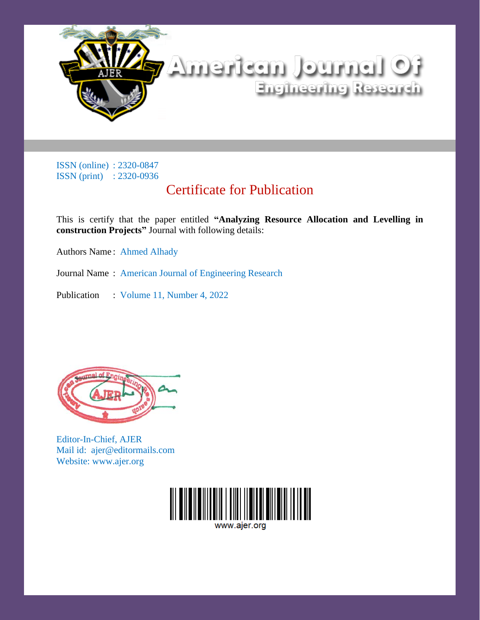

## Certificate for Publication

This is certify that the paper entitled **"Analyzing Resource Allocation and Levelling in construction Projects"** Journal with following details:

Authors Name: Ahmed Alhady

Journal Name : American Journal of Engineering Research

Publication : Volume 11, Number 4, 2022



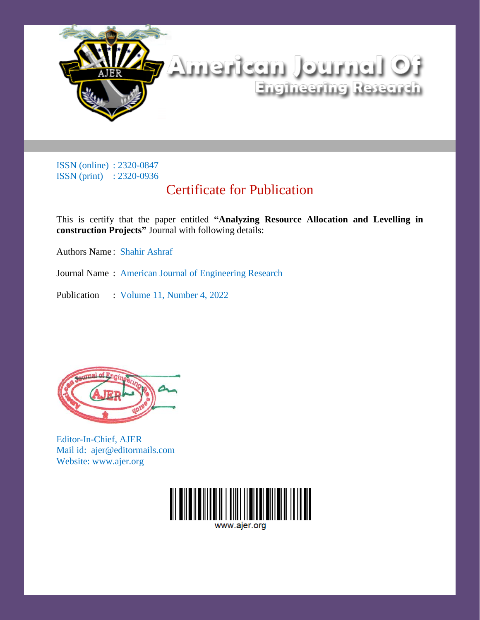

## Certificate for Publication

This is certify that the paper entitled **"Analyzing Resource Allocation and Levelling in construction Projects"** Journal with following details:

Authors Name : Shahir Ashraf

Journal Name : American Journal of Engineering Research

Publication : Volume 11, Number 4, 2022



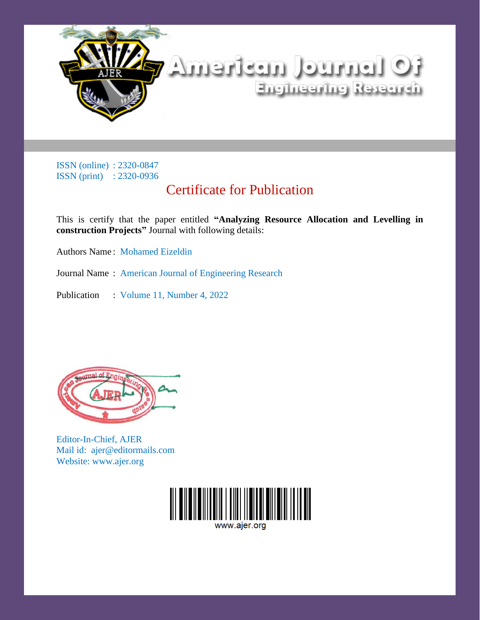

## Certificate for Publication

This is certify that the paper entitled **"Analyzing Resource Allocation and Levelling in construction Projects"** Journal with following details:

Authors Name : Mohamed Eizeldin

Journal Name : American Journal of Engineering Research

Publication : Volume 11, Number 4, 2022